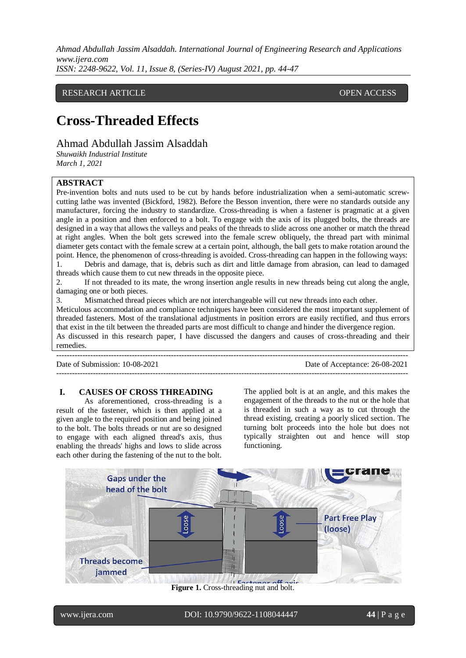*Ahmad Abdullah Jassim Alsaddah. International Journal of Engineering Research and Applications www.ijera.com*

*ISSN: 2248-9622, Vol. 11, Issue 8, (Series-IV) August 2021, pp. 44-47*

## RESEARCH ARTICLE **CONTRACT ARTICLE** AND LOTE OPEN ACCESS OPEN ACCESS

# **Cross-Threaded Effects**

Ahmad Abdullah Jassim Alsaddah

*Shuwaikh Industrial Institute March 1, 2021*

# **ABSTRACT**

Pre-invention bolts and nuts used to be cut by hands before industrialization when a semi-automatic screwcutting lathe was invented (Bickford, 1982). Before the Besson invention, there were no standards outside any manufacturer, forcing the industry to standardize. Cross-threading is when a fastener is pragmatic at a given angle in a position and then enforced to a bolt. To engage with the axis of its plugged bolts, the threads are designed in a way that allows the valleys and peaks of the threads to slide across one another or match the thread at right angles. When the bolt gets screwed into the female screw obliquely, the thread part with minimal diameter gets contact with the female screw at a certain point, although, the ball gets to make rotation around the point. Hence, the phenomenon of cross-threading is avoided. Cross-threading can happen in the following ways:

1. Debris and damage, that is, debris such as dirt and little damage from abrasion, can lead to damaged threads which cause them to cut new threads in the opposite piece.

2. If not threaded to its mate, the wrong insertion angle results in new threads being cut along the angle, damaging one or both pieces.

3. Mismatched thread pieces which are not interchangeable will cut new threads into each other.

Meticulous accommodation and compliance techniques have been considered the most important supplement of threaded fasteners. Most of the translational adjustments in position errors are easily rectified, and thus errors that exist in the tilt between the threaded parts are most difficult to change and hinder the divergence region. As discussed in this research paper, I have discussed the dangers and causes of cross-threading and their remedies.

---------------------------------------------------------------------------------------------------------------------------------------

Date of Submission: 10-08-2021 Date of Acceptance: 26-08-2021

---------------------------------------------------------------------------------------------------------------------------------------

## **I. CAUSES OF CROSS THREADING**

As aforementioned, cross-threading is a result of the fastener, which is then applied at a given angle to the required position and being joined to the bolt. The bolts threads or nut are so designed to engage with each aligned thread's axis, thus enabling the threads' highs and lows to slide across each other during the fastening of the nut to the bolt.

The applied bolt is at an angle, and this makes the engagement of the threads to the nut or the hole that is threaded in such a way as to cut through the thread existing, creating a poorly sliced section. The turning bolt proceeds into the hole but does not typically straighten out and hence will stop functioning.



**Figure 1.** Cross-threading nut and bolt.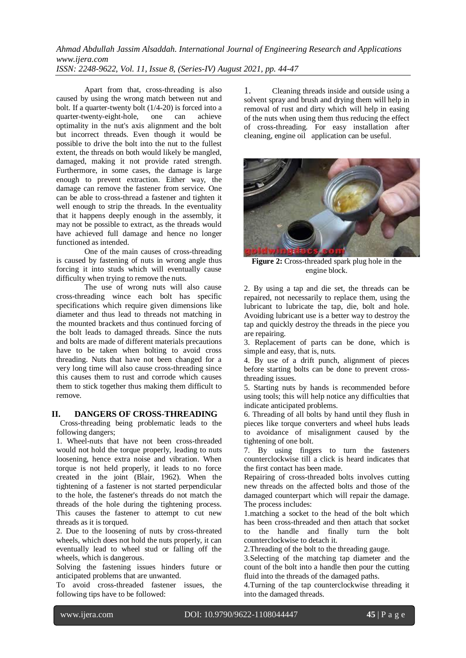*Ahmad Abdullah Jassim Alsaddah. International Journal of Engineering Research and Applications www.ijera.com ISSN: 2248-9622, Vol. 11, Issue 8, (Series-IV) August 2021, pp. 44-47*

Apart from that, cross-threading is also caused by using the wrong match between nut and bolt. If a quarter-twenty bolt (1/4-20) is forced into a quarter-twenty-eight-hole. one can achieve quarter-twenty-eight-hole, one can achieve optimality in the nut's axis alignment and the bolt but incorrect threads. Even though it would be possible to drive the bolt into the nut to the fullest extent, the threads on both would likely be mangled, damaged, making it not provide rated strength. Furthermore, in some cases, the damage is large enough to prevent extraction. Either way, the damage can remove the fastener from service. One can be able to cross-thread a fastener and tighten it well enough to strip the threads. In the eventuality that it happens deeply enough in the assembly, it may not be possible to extract, as the threads would have achieved full damage and hence no longer functioned as intended.

One of the main causes of cross-threading is caused by fastening of nuts in wrong angle thus forcing it into studs which will eventually cause difficulty when trying to remove the nuts.

The use of wrong nuts will also cause cross-threading wince each bolt has specific specifications which require given dimensions like diameter and thus lead to threads not matching in the mounted brackets and thus continued forcing of the bolt leads to damaged threads. Since the nuts and bolts are made of different materials precautions have to be taken when bolting to avoid cross threading. Nuts that have not been changed for a very long time will also cause cross-threading since this causes them to rust and corrode which causes them to stick together thus making them difficult to remove.

#### **II. DANGERS OF CROSS-THREADING**

 Cross-threading being problematic leads to the following dangers;

1. Wheel-nuts that have not been cross-threaded would not hold the torque properly, leading to nuts loosening, hence extra noise and vibration. When torque is not held properly, it leads to no force created in the joint (Blair, 1962). When the tightening of a fastener is not started perpendicular to the hole, the fastener's threads do not match the threads of the hole during the tightening process. This causes the fastener to attempt to cut new threads as it is torqued.

2. Due to the loosening of nuts by cross-threated wheels, which does not hold the nuts properly, it can eventually lead to wheel stud or falling off the wheels, which is dangerous.

Solving the fastening issues hinders future or anticipated problems that are unwanted.

To avoid cross-threaded fastener issues, the following tips have to be followed:

1. Cleaning threads inside and outside using a solvent spray and brush and drying them will help in removal of rust and dirty which will help in easing of the nuts when using them thus reducing the effect of cross-threading. For easy installation after cleaning, engine oil application can be useful.



**Figure 2:** Cross-threaded spark plug hole in the engine block.

2. By using a tap and die set, the threads can be repaired, not necessarily to replace them, using the lubricant to lubricate the tap, die, bolt and hole. Avoiding lubricant use is a better way to destroy the tap and quickly destroy the threads in the piece you are repairing.

3. Replacement of parts can be done, which is simple and easy, that is, nuts.

4. By use of a drift punch, alignment of pieces before starting bolts can be done to prevent crossthreading issues.

5. Starting nuts by hands is recommended before using tools; this will help notice any difficulties that indicate anticipated problems.

6. Threading of all bolts by hand until they flush in pieces like torque converters and wheel hubs leads to avoidance of misalignment caused by the tightening of one bolt.

7. By using fingers to turn the fasteners counterclockwise till a click is heard indicates that the first contact has been made.

Repairing of cross-threaded bolts involves cutting new threads on the affected bolts and those of the damaged counterpart which will repair the damage. The process includes:

1.matching a socket to the head of the bolt which has been cross-threaded and then attach that socket to the handle and finally turn the bolt counterclockwise to detach it.

2.Threading of the bolt to the threading gauge.

3.Selecting of the matching tap diameter and the count of the bolt into a handle then pour the cutting fluid into the threads of the damaged paths.

4.Turning of the tap counterclockwise threading it into the damaged threads.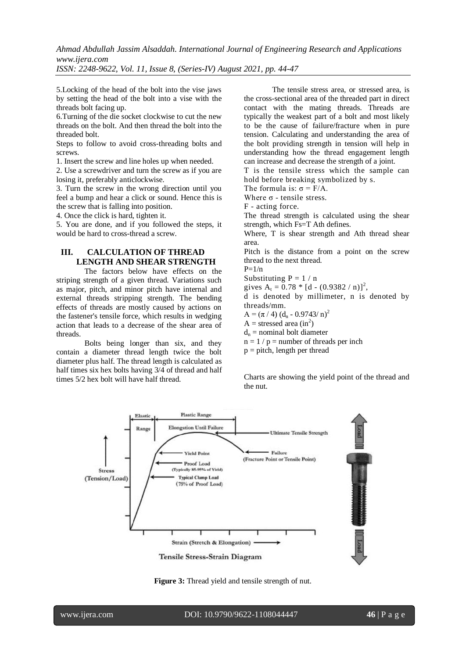*Ahmad Abdullah Jassim Alsaddah. International Journal of Engineering Research and Applications www.ijera.com*

*ISSN: 2248-9622, Vol. 11, Issue 8, (Series-IV) August 2021, pp. 44-47*

5.Locking of the head of the bolt into the vise jaws by setting the head of the bolt into a vise with the threads bolt facing up.

6.Turning of the die socket clockwise to cut the new threads on the bolt. And then thread the bolt into the threaded bolt.

Steps to follow to avoid cross-threading bolts and screws.

1. Insert the screw and line holes up when needed.

2. Use a screwdriver and turn the screw as if you are losing it, preferably anticlockwise.

3. Turn the screw in the wrong direction until you feel a bump and hear a click or sound. Hence this is the screw that is falling into position.

4. Once the click is hard, tighten it.

5. You are done, and if you followed the steps, it would be hard to cross-thread a screw.

# **III. CALCULATION OF THREAD LENGTH AND SHEAR STRENGTH**

The factors below have effects on the striping strength of a given thread. Variations such as major, pitch, and minor pitch have internal and external threads stripping strength. The bending effects of threads are mostly caused by actions on the fastener's tensile force, which results in wedging action that leads to a decrease of the shear area of threads.

Bolts being longer than six, and they contain a diameter thread length twice the bolt diameter plus half. The thread length is calculated as half times six hex bolts having 3/4 of thread and half times 5/2 hex bolt will have half thread.

The tensile stress area, or stressed area, is the cross-sectional area of the threaded part in direct contact with the mating threads. Threads are typically the weakest part of a bolt and most likely to be the cause of failure/fracture when in pure tension. Calculating and understanding the area of the bolt providing strength in tension will help in understanding how the thread engagement length can increase and decrease the strength of a joint.

T is the tensile stress which the sample can hold before breaking symbolized by s.

The formula is:  $\sigma = F/A$ .

Where  $\sigma$  - tensile stress.

F - acting force.

The thread strength is calculated using the shear strength, which Fs=T Ath defines.

Where, T is shear strength and Ath thread shear area.

Pitch is the distance from a point on the screw thread to the next thread.

 $P=1/n$ 

Substituting  $P = 1/n$ 

gives  $A_t = 0.78 * [d - (0.9382 / n)]^2$ ,

d is denoted by millimeter, n is denoted by threads/mm.

 $A = (\pi / 4) (d_n - 0.9743/n)^2$ 

 $A =$  stressed area (in<sup>2</sup>)

 $d_n$  = nominal bolt diameter

 $n = 1 / p =$  number of [threads per inch](about:blank)

 $p = pitch$ , length per thread

Charts are showing the yield point of the thread and the nut.



**Figure 3:** Thread yield and tensile strength of nut.